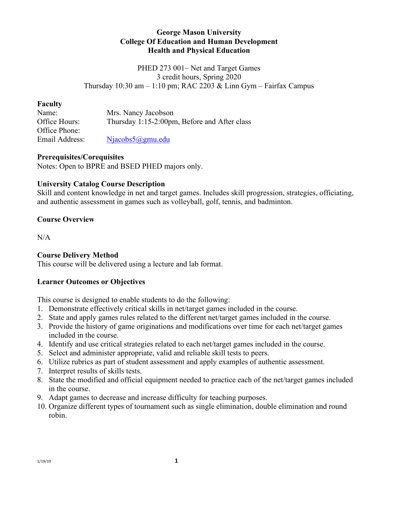## **George Mason University College Of Education and Human Development Health and Physical Education**

PHED 273 001– Net and Target Games 3 credit hours, Spring 2020 Thursday  $10:30$  am  $-1:10$  pm; RAC 2203 & Linn Gym – Fairfax Campus

### **Faculty**

| Name:          | Mrs. Nancy Jacobson                          |
|----------------|----------------------------------------------|
| Office Hours:  | Thursday 1:15-2:00pm, Before and After class |
| Office Phone:  |                                              |
| Email Address: | $Niacobs5@gmu.edu$                           |

### **Prerequisites/Corequisites**

Notes: Open to BPRE and BSED PHED majors only.

# **University Catalog Course Description**

Skill and content knowledge in net and target games. Includes skill progression, strategies, officiating, and authentic assessment in games such as volleyball, golf, tennis, and badminton.

## **Course Overview**

 $N/A$ 

# **Course Delivery Method**

This course will be delivered using a lecture and lab format.

## **Learner Outcomes or Objectives**

This course is designed to enable students to do the following:

- 1. Demonstrate effectively critical skills in net/target games included in the course.
- 2. State and apply games rules related to the different net/target games included in the course.
- 3. Provide the history of game originations and modifications over time for each net/target games included in the course.
- 4. Identify and use critical strategies related to each net/target games included in the course.
- 5. Select and administer appropriate, valid and reliable skill tests to peers.
- 6. Utilize rubrics as part of student assessment and apply examples of authentic assessment.
- 7. Interpret results of skills tests.
- 8. State the modified and official equipment needed to practice each of the net/target games included in the course.
- 9. Adapt games to decrease and increase difficulty for teaching purposes.
- 10. Organize different types of tournament such as single elimination, double elimination and round robin.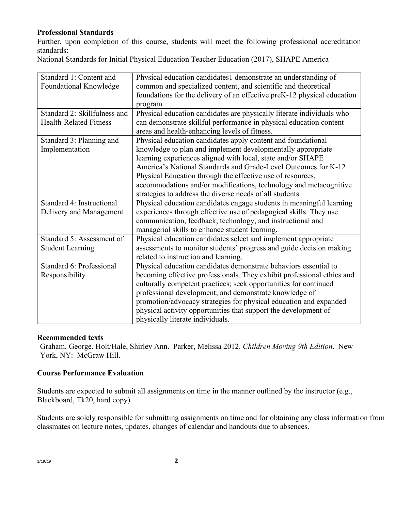# **Professional Standards**

Further, upon completion of this course, students will meet the following professional accreditation standards:

National Standards for Initial Physical Education Teacher Education (2017), SHAPE America

| Standard 1: Content and       | Physical education candidates1 demonstrate an understanding of          |
|-------------------------------|-------------------------------------------------------------------------|
| Foundational Knowledge        | common and specialized content, and scientific and theoretical          |
|                               | foundations for the delivery of an effective preK-12 physical education |
|                               | program                                                                 |
| Standard 2: Skillfulness and  | Physical education candidates are physically literate individuals who   |
| <b>Health-Related Fitness</b> | can demonstrate skillful performance in physical education content      |
|                               | areas and health-enhancing levels of fitness.                           |
| Standard 3: Planning and      | Physical education candidates apply content and foundational            |
| Implementation                | knowledge to plan and implement developmentally appropriate             |
|                               | learning experiences aligned with local, state and/or SHAPE             |
|                               | America's National Standards and Grade-Level Outcomes for K-12          |
|                               | Physical Education through the effective use of resources,              |
|                               | accommodations and/or modifications, technology and metacognitive       |
|                               | strategies to address the diverse needs of all students.                |
| Standard 4: Instructional     | Physical education candidates engage students in meaningful learning    |
| Delivery and Management       | experiences through effective use of pedagogical skills. They use       |
|                               | communication, feedback, technology, and instructional and              |
|                               | managerial skills to enhance student learning.                          |
| Standard 5: Assessment of     | Physical education candidates select and implement appropriate          |
| <b>Student Learning</b>       | assessments to monitor students' progress and guide decision making     |
|                               | related to instruction and learning.                                    |
| Standard 6: Professional      | Physical education candidates demonstrate behaviors essential to        |
| Responsibility                | becoming effective professionals. They exhibit professional ethics and  |
|                               | culturally competent practices; seek opportunities for continued        |
|                               | professional development; and demonstrate knowledge of                  |
|                               | promotion/advocacy strategies for physical education and expanded       |
|                               | physical activity opportunities that support the development of         |
|                               | physically literate individuals.                                        |

#### **Recommended texts**

Graham, George. Holt/Hale, Shirley Ann. Parker, Melissa 2012. *Children Moving 9th Edition*. New York, NY: McGraw Hill.

#### **Course Performance Evaluation**

Students are expected to submit all assignments on time in the manner outlined by the instructor (e.g., Blackboard, Tk20, hard copy).

Students are solely responsible for submitting assignments on time and for obtaining any class information from classmates on lecture notes, updates, changes of calendar and handouts due to absences.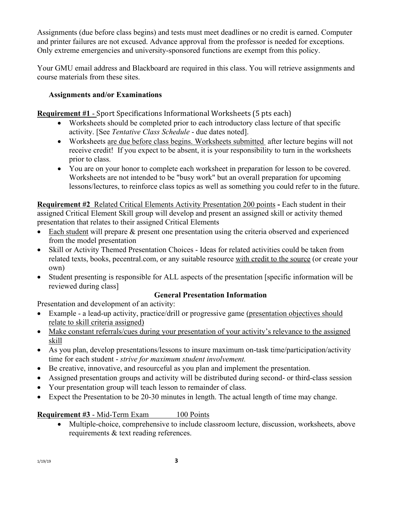Assignments (due before class begins) and tests must meet deadlines or no credit is earned. Computer and printer failures are not excused. Advance approval from the professor is needed for exceptions. Only extreme emergencies and university-sponsored functions are exempt from this policy.

Your GMU email address and Blackboard are required in this class. You will retrieve assignments and course materials from these sites.

# **Assignments and/or Examinations**

**Requirement #1** - Sport Specifications Informational Worksheets (5 pts each)

- Worksheets should be completed prior to each introductory class lecture of that specific activity. [See *Tentative Class Schedule* - due dates noted].
- Worksheets are due before class begins. Worksheets submitted after lecture begins will not receive credit! If you expect to be absent, it is your responsibility to turn in the worksheets prior to class.
- You are on your honor to complete each worksheet in preparation for lesson to be covered. Worksheets are not intended to be "busy work" but an overall preparation for upcoming lessons/lectures, to reinforce class topics as well as something you could refer to in the future.

**Requirement #2** Related Critical Elements Activity Presentation 200 points **-** Each student in their assigned Critical Element Skill group will develop and present an assigned skill or activity themed presentation that relates to their assigned Critical Elements

- Each student will prepare & present one presentation using the criteria observed and experienced from the model presentation
- Skill or Activity Themed Presentation Choices Ideas for related activities could be taken from related texts, books, pecentral.com, or any suitable resource with credit to the source (or create your own)
- Student presenting is responsible for ALL aspects of the presentation [specific information will be reviewed during class]

# **General Presentation Information**

Presentation and development of an activity:

- Example a lead-up activity, practice/drill or progressive game (presentation objectives should relate to skill criteria assigned)
- Make constant referrals/cues during your presentation of your activity's relevance to the assigned skill
- As you plan, develop presentations/lessons to insure maximum on-task time/participation/activity time for each student - *strive for maximum student involvement.*
- Be creative, innovative, and resourceful as you plan and implement the presentation.
- Assigned presentation groups and activity will be distributed during second- or third-class session
- Your presentation group will teach lesson to remainder of class.
- Expect the Presentation to be 20-30 minutes in length. The actual length of time may change.

**Requirement #3** - Mid-Term Exam 100 Points

• Multiple-choice, comprehensive to include classroom lecture, discussion, worksheets, above requirements & text reading references.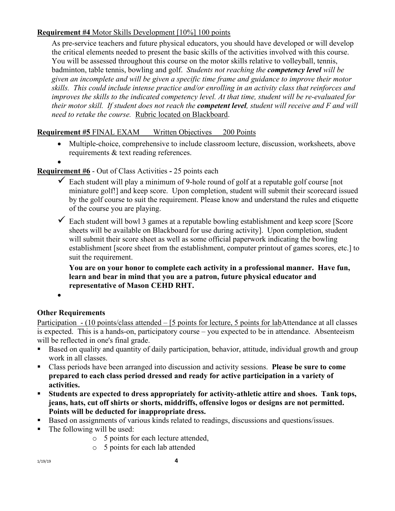# **Requirement #4** Motor Skills Development [10%] 100 points

As pre-service teachers and future physical educators, you should have developed or will develop the critical elements needed to present the basic skills of the activities involved with this course. You will be assessed throughout this course on the motor skills relative to volleyball, tennis, badminton, table tennis, bowling and golf. *Students not reaching the competency level will be given an incomplete and will be given a specific time frame and guidance to improve their motor skills. This could include intense practice and/or enrolling in an activity class that reinforces and improves the skills to the indicated competency level. At that time, student will be re-evaluated for their motor skill. If student does not reach the competent level, student will receive and F and will need to retake the course.* Rubric located on Blackboard.

# **Requirement #5** FINAL EXAM Written Objectives 200 Points

• Multiple-choice, comprehensive to include classroom lecture, discussion, worksheets, above requirements & text reading references.

# **Requirement #6** - Out of Class Activities **-** 25 points each

- $\checkmark$  Each student will play a minimum of 9-hole round of golf at a reputable golf course [not miniature golf!] and keep score. Upon completion, student will submit their scorecard issued by the golf course to suit the requirement. Please know and understand the rules and etiquette of the course you are playing.
- $\checkmark$  Each student will bowl 3 games at a reputable bowling establishment and keep score [Score sheets will be available on Blackboard for use during activity]. Upon completion, student will submit their score sheet as well as some official paperwork indicating the bowling establishment [score sheet from the establishment, computer printout of games scores, etc.] to suit the requirement.

**You are on your honor to complete each activity in a professional manner. Have fun, learn and bear in mind that you are a patron, future physical educator and representative of Mason CEHD RHT.**

•

# **Other Requirements**

Participation - (10 points/class attended – [5 points for lecture, 5 points for labAttendance at all classes is expected. This is a hands-on, participatory course – you expected to be in attendance. Absenteeism will be reflected in one's final grade.

- Based on quality and quantity of daily participation, behavior, attitude, individual growth and group work in all classes.
- Class periods have been arranged into discussion and activity sessions. **Please be sure to come prepared to each class period dressed and ready for active participation in a variety of activities.**
- **Students are expected to dress appropriately for activity-athletic attire and shoes. Tank tops, jeans, hats, cut off shirts or shorts, middriffs, offensive logos or designs are not permitted. Points will be deducted for inappropriate dress.**
- Based on assignments of various kinds related to readings, discussions and questions/issues.
- The following will be used:
	- o 5 points for each lecture attended,
	- o 5 points for each lab attended

1/19/19 **4**

<sup>•</sup>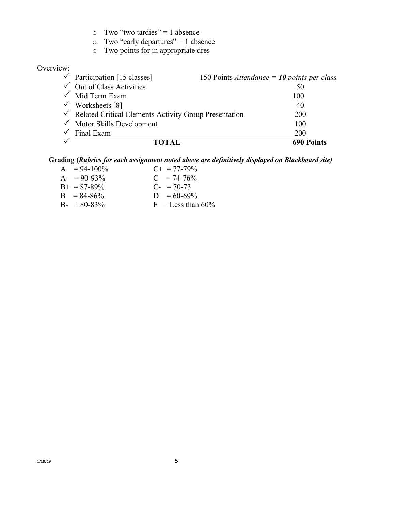- o Two "early departures" = 1 absence
- o Two points for in appropriate dres

#### Overview:

| <b>TOTAL</b>                                                       | <b>690 Points</b>                             |
|--------------------------------------------------------------------|-----------------------------------------------|
| Final Exam                                                         | 200                                           |
| $\checkmark$ Motor Skills Development                              | 100                                           |
| $\checkmark$ Related Critical Elements Activity Group Presentation | 200                                           |
| $\checkmark$ Worksheets [8]                                        | 40                                            |
| $\checkmark$ Mid Term Exam                                         | 100                                           |
| $\checkmark$ Out of Class Activities                               | 50                                            |
| $\checkmark$ Participation [15 classes]                            | 150 Points Attendance = $10$ points per class |

#### **Grading (***Rubrics for each assignment noted above are definitively displayed on Blackboard site)*

| $A = 94-100\%$      | $C_{\pm} = 77 - 79\%$ |
|---------------------|-----------------------|
| $A - 90 - 93\%$     | $C = 74-76%$          |
| $B_{+} = 87 - 89\%$ | $C_{-}$ = 70-73       |
| $B = 84-86%$        | $D = 60 - 69\%$       |
| $B - 80 - 83\%$     | $F =$ Less than 60%   |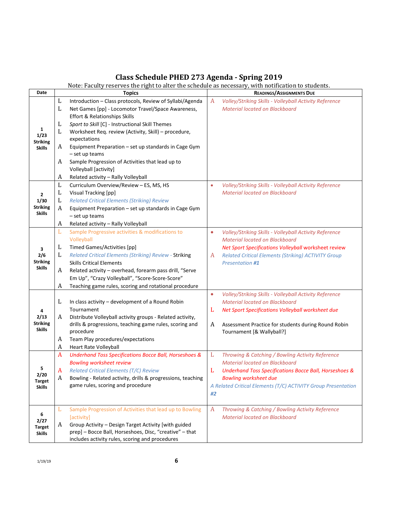# **Class Schedule PHED 273 Agenda - Spring 2019**

|                       | Note: Faculty reserves the right to alter the schedule as necessary, with notification to students. |                                                                        |           |                                                                   |
|-----------------------|-----------------------------------------------------------------------------------------------------|------------------------------------------------------------------------|-----------|-------------------------------------------------------------------|
| Date                  |                                                                                                     | <b>Topics</b>                                                          |           | <b>READINGS/ASSIGNMENTS DUE</b>                                   |
|                       | L                                                                                                   | Introduction - Class protocols, Review of Syllabi/Agenda               | A         | Volley/Striking Skills - Volleyball Activity Reference            |
|                       | L                                                                                                   | Net Games [pp] - Locomotor Travel/Space Awareness,                     |           | <b>Material located on Blackboard</b>                             |
|                       |                                                                                                     | <b>Effort &amp; Relationships Skills</b>                               |           |                                                                   |
|                       | L                                                                                                   | Sport to Skill [C] - Instructional Skill Themes                        |           |                                                                   |
| 1                     | L                                                                                                   | Worksheet Req. review (Activity, Skill) - procedure,                   |           |                                                                   |
| 1/23<br>Striking      |                                                                                                     | expectations                                                           |           |                                                                   |
| <b>Skills</b>         | A                                                                                                   | Equipment Preparation - set up standards in Cage Gym<br>- set up teams |           |                                                                   |
|                       | A                                                                                                   | Sample Progression of Activities that lead up to                       |           |                                                                   |
|                       |                                                                                                     | Volleyball [activity]                                                  |           |                                                                   |
|                       | A                                                                                                   | Related activity - Rally Volleyball                                    |           |                                                                   |
|                       | L                                                                                                   | Curriculum Overview/Review - ES, MS, HS                                | $\bullet$ | Volley/Striking Skills - Volleyball Activity Reference            |
|                       | L                                                                                                   | Visual Tracking [pp]                                                   |           | <b>Material located on Blackboard</b>                             |
| $\mathbf{2}$<br>1/30  | L                                                                                                   | <b>Related Critical Elements (Striking) Review</b>                     |           |                                                                   |
| <b>Striking</b>       |                                                                                                     |                                                                        |           |                                                                   |
| <b>Skills</b>         | A                                                                                                   | Equipment Preparation - set up standards in Cage Gym<br>- set up teams |           |                                                                   |
|                       | A                                                                                                   | Related activity - Rally Volleyball                                    |           |                                                                   |
|                       | L                                                                                                   | Sample Progressive activities & modifications to                       | $\bullet$ | Volley/Striking Skills - Volleyball Activity Reference            |
|                       |                                                                                                     | Volleyball                                                             |           | <b>Material located on Blackboard</b>                             |
|                       | L                                                                                                   | <b>Timed Games/Activities [pp]</b>                                     |           | Net Sport Specifications Volleyball worksheet review              |
| 3<br>2/6              | L                                                                                                   | Related Critical Elements (Striking) Review - Striking                 | A         | <b>Related Critical Elements (Striking) ACTIVITY Group</b>        |
| <b>Striking</b>       |                                                                                                     | <b>Skills Critical Elements</b>                                        |           | <b>Presentation #1</b>                                            |
| <b>Skills</b>         | A                                                                                                   | Related activity - overhead, forearm pass drill, "Serve                |           |                                                                   |
|                       |                                                                                                     | Em Up", "Crazy Volleyball", "Score-Score-Score"                        |           |                                                                   |
|                       | A                                                                                                   | Teaching game rules, scoring and rotational procedure                  |           |                                                                   |
|                       |                                                                                                     |                                                                        | $\bullet$ | Volley/Striking Skills - Volleyball Activity Reference            |
|                       | L                                                                                                   | In class activity - development of a Round Robin                       |           | <b>Material located on Blackboard</b>                             |
|                       |                                                                                                     | Tournament                                                             | L         | Net Sport Specifications Volleyball worksheet due                 |
| 2/13                  | A                                                                                                   | Distribute Volleyball activity groups - Related activity,              |           |                                                                   |
| <b>Striking</b>       |                                                                                                     | drills & progressions, teaching game rules, scoring and                | A         | Assessment Practice for students during Round Robin               |
| <b>Skills</b>         |                                                                                                     | procedure                                                              |           | Tournament [& Wallyball?]                                         |
|                       | A                                                                                                   | Team Play procedures/expectations                                      |           |                                                                   |
|                       | A                                                                                                   | Heart Rate Volleyball                                                  |           |                                                                   |
|                       | A                                                                                                   | <b>Underhand Toss Specifications Bocce Ball, Horseshoes &amp;</b>      | L         | Throwing & Catching / Bowling Activity Reference                  |
|                       |                                                                                                     | <b>Bowling worksheet review</b>                                        |           | Material located on Blackboard                                    |
| 5                     | A                                                                                                   | <b>Related Critical Elements (T/C) Review</b>                          | L         | <b>Underhand Toss Specifications Bocce Ball, Horseshoes &amp;</b> |
| 2/20<br><b>Target</b> | A                                                                                                   | Bowling - Related activity, drills & progressions, teaching            |           | <b>Bowling worksheet due</b>                                      |
| <b>Skills</b>         |                                                                                                     | game rules, scoring and procedure                                      |           | A Related Critical Elements (T/C) ACTIVITY Group Presentation     |
|                       |                                                                                                     |                                                                        | #2        |                                                                   |
|                       | L                                                                                                   | Sample Progression of Activities that lead up to Bowling               | A         | Throwing & Catching / Bowling Activity Reference                  |
| 6                     |                                                                                                     | [activity]                                                             |           | <b>Material located on Blackboard</b>                             |
| 2/27<br><b>Target</b> | A                                                                                                   | Group Activity - Design Target Activity [with guided                   |           |                                                                   |
| <b>Skills</b>         |                                                                                                     | prep] - Bocce Ball, Horseshoes, Disc, "creative" - that                |           |                                                                   |
|                       |                                                                                                     | includes activity rules, scoring and procedures                        |           |                                                                   |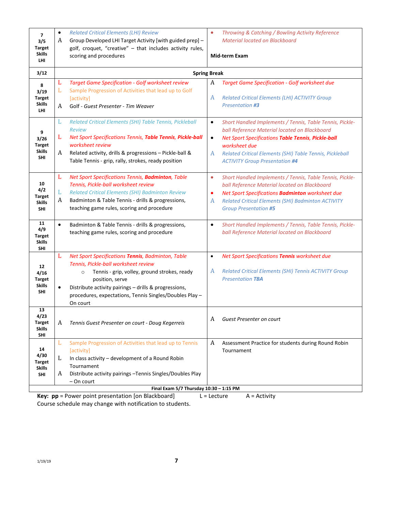| $\overline{ }$<br>3/5<br><b>Target</b><br><b>Skills</b><br><b>LHI</b> | $\bullet$<br>A | <b>Related Critical Elements (LHI) Review</b><br>Group Developed LHI Target Activity [with guided prep] -<br>golf, croquet, "creative" - that includes activity rules,<br>scoring and procedures                                                                                                        | Throwing & Catching / Bowling Activity Reference<br>$\bullet$<br><b>Material located on Blackboard</b><br><b>Mid-term Exam</b>                                                                                                                                                                                       |
|-----------------------------------------------------------------------|----------------|---------------------------------------------------------------------------------------------------------------------------------------------------------------------------------------------------------------------------------------------------------------------------------------------------------|----------------------------------------------------------------------------------------------------------------------------------------------------------------------------------------------------------------------------------------------------------------------------------------------------------------------|
| 3/12                                                                  |                |                                                                                                                                                                                                                                                                                                         | <b>Spring Break</b>                                                                                                                                                                                                                                                                                                  |
| 8<br>3/19<br><b>Target</b><br><b>Skills</b><br><b>LHI</b>             | L<br>L<br>A    | <b>Target Game Specification - Golf worksheet review</b><br>Sample Progression of Activities that lead up to Golf<br>[activity]<br>Golf - Guest Presenter - Tim Weaver                                                                                                                                  | A<br><b>Target Game Specification - Golf worksheet due</b><br><b>Related Critical Elements (LHI) ACTIVITY Group</b><br>A<br><b>Presentation #3</b>                                                                                                                                                                   |
| 9<br>3/26<br>Target<br><b>Skills</b><br>SHI                           | L<br>L<br>A    | Related Critical Elements (SHI) Table Tennis, Pickleball<br><b>Review</b><br>Net Sport Specifications Tennis, Table Tennis, Pickle-ball<br>worksheet review<br>Related activity, drills & progressions - Pickle-ball &<br>Table Tennis - grip, rally, strokes, ready position                           | Short Handled Implements / Tennis, Table Tennis, Pickle-<br>$\bullet$<br>ball Reference Material located on Blackboard<br>Net Sport Specifications Table Tennis, Pickle-ball<br>$\bullet$<br>worksheet due<br>A<br>Related Critical Elements (SHI) Table Tennis, Pickleball<br><b>ACTIVITY Group Presentation #4</b> |
| 10<br>4/2<br>Target<br><b>Skills</b><br><b>SHI</b>                    | L<br>L<br>A    | Net Sport Specifications Tennis, Badminton, Table<br>Tennis, Pickle-ball worksheet review<br><b>Related Critical Elements (SHI) Badminton Review</b><br>Badminton & Table Tennis - drills & progressions,<br>teaching game rules, scoring and procedure                                                 | $\bullet$<br>Short Handled Implements / Tennis, Table Tennis, Pickle-<br>ball Reference Material located on Blackboard<br>Net Sport Specifications Badminton worksheet due<br>٠<br>Related Critical Elements (SHI) Badminton ACTIVITY<br>A<br><b>Group Presentation #5</b>                                           |
| 11<br>4/9<br>Target<br><b>Skills</b><br><b>SHI</b>                    | $\bullet$      | Badminton & Table Tennis - drills & progressions,<br>teaching game rules, scoring and procedure                                                                                                                                                                                                         | Short Handled Implements / Tennis, Table Tennis, Pickle-<br>$\bullet$<br>ball Reference Material located on Blackboard                                                                                                                                                                                               |
| 12<br>4/16<br><b>Target</b><br><b>Skills</b><br>SHI                   | L<br>$\bullet$ | Net Sport Specifications Tennis, Badminton, Table<br>Tennis, Pickle-ball worksheet review<br>Tennis - grip, volley, ground strokes, ready<br>$\circ$<br>position, serve<br>Distribute activity pairings - drills & progressions,<br>procedures, expectations, Tennis Singles/Doubles Play -<br>On court | Net Sport Specifications Tennis worksheet due<br>$\bullet$<br>A<br><b>Related Critical Elements (SHI) Tennis ACTIVITY Group</b><br><b>Presentation TBA</b>                                                                                                                                                           |
| 13<br>4/23<br><b>Target</b><br><b>Skills</b><br>SHI                   | A              | Tennis Guest Presenter on court - Doug Kegerreis                                                                                                                                                                                                                                                        | A<br>Guest Presenter on court                                                                                                                                                                                                                                                                                        |
| 14<br>4/30<br><b>Target</b><br><b>Skills</b><br>SHI                   | L<br>L<br>A    | Sample Progression of Activities that lead up to Tennis<br>[activity]<br>In class activity - development of a Round Robin<br>Tournament<br>Distribute activity pairings -Tennis Singles/Doubles Play<br>- On court                                                                                      | A<br>Assessment Practice for students during Round Robin<br>Tournament                                                                                                                                                                                                                                               |
|                                                                       |                | Final Exam 5/7 Thursday 10:30 - 1:15 PM<br>nn - Douar point procentation [on Blackboard]                                                                                                                                                                                                                | $\Lambda = \Lambda_{\text{c}} + i \Lambda_{\text{c}} + \Lambda_{\text{c}}$                                                                                                                                                                                                                                           |

**Key:**  $pp$  = Power point presentation [on Blackboard] L = Lecture A = Activity Course schedule may change with notification to students.